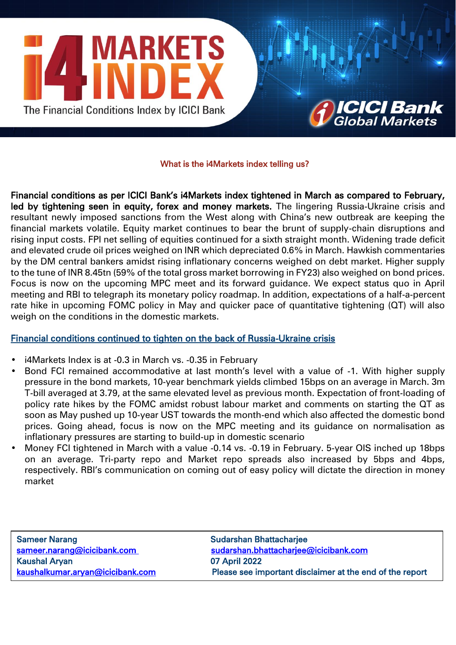



## What is the i4Markets index telling us?

Financial conditions as per ICICI Bank's i4Markets index tightened in March as compared to February, led by tightening seen in equity, forex and money markets. The lingering Russia-Ukraine crisis and resultant newly imposed sanctions from the West along with China's new outbreak are keeping the financial markets volatile. Equity market continues to bear the brunt of supply-chain disruptions and rising input costs. FPI net selling of equities continued for a sixth straight month. Widening trade deficit and elevated crude oil prices weighed on INR which depreciated 0.6% in March. Hawkish commentaries by the DM central bankers amidst rising inflationary concerns weighed on debt market. Higher supply to the tune of INR 8.45tn (59% of the total gross market borrowing in FY23) also weighed on bond prices. Focus is now on the upcoming MPC meet and its forward guidance. We expect status quo in April meeting and RBI to telegraph its monetary policy roadmap. In addition, expectations of a half-a-percent rate hike in upcoming FOMC policy in May and quicker pace of quantitative tightening (QT) will also weigh on the conditions in the domestic markets.

# Financial conditions continued to tighten on the back of Russia-Ukraine crisis

- i4Markets Index is at -0.3 in March vs. -0.35 in February
- Bond FCI remained accommodative at last month's level with a value of -1. With higher supply pressure in the bond markets, 10-year benchmark yields climbed 15bps on an average in March. 3m T-bill averaged at 3.79, at the same elevated level as previous month. Expectation of front-loading of policy rate hikes by the FOMC amidst robust labour market and comments on starting the QT as soon as May pushed up 10-year UST towards the month-end which also affected the domestic bond prices. Going ahead, focus is now on the MPC meeting and its guidance on normalisation as inflationary pressures are starting to build-up in domestic scenario
- Money FCI tightened in March with a value -0.14 vs. -0.19 in February. 5-year OIS inched up 18bps on an average. Tri-party repo and Market repo spreads also increased by 5bps and 4bps, respectively. RBI's communication on coming out of easy policy will dictate the direction in money market

| <b>Sameer Narang</b>             | <b>Sudarshan Bhattacharjee</b>                           |
|----------------------------------|----------------------------------------------------------|
| sameer.narang@icicibank.com      | sudarshan.bhattacharjee@icicibank.com                    |
| <b>Kaushal Aryan</b>             | 07 April 2022                                            |
| kaushalkumar.aryan@icicibank.com | Please see important disclaimer at the end of the report |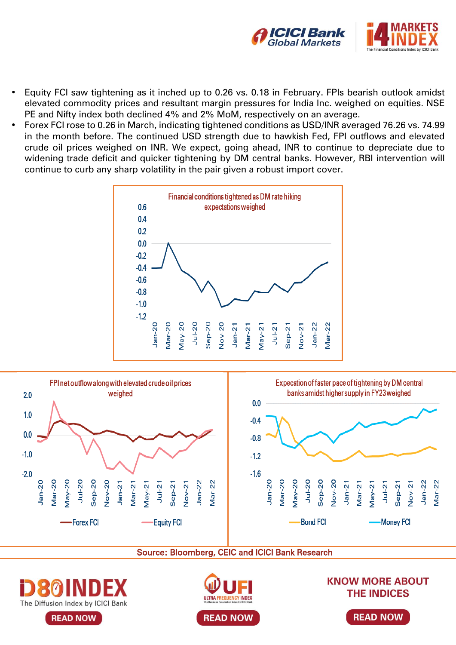

- Equity FCI saw tightening as it inched up to 0.26 vs. 0.18 in February. FPIs bearish outlook amidst elevated commodity prices and resultant margin pressures for India Inc. weighed on equities. NSE PE and Nifty index both declined 4% and 2% MoM, respectively on an average.
- Forex FCI rose to 0.26 in March, indicating tightened conditions as USD/INR averaged 76.26 vs. 74.99 in the month before. The continued USD strength due to hawkish Fed, FPI outflows and elevated crude oil prices weighed on INR. We expect, going ahead, INR to continue to depreciate due to widening trade deficit and quicker tightening by DM central banks. However, RBI intervention will continue to curb any sharp volatility in the pair given a robust import cover.





Source: Bloomberg, CEIC and ICICI Bank Research



**READ NOW** 



**KNOW MORE ABOUT THE INDICES** 

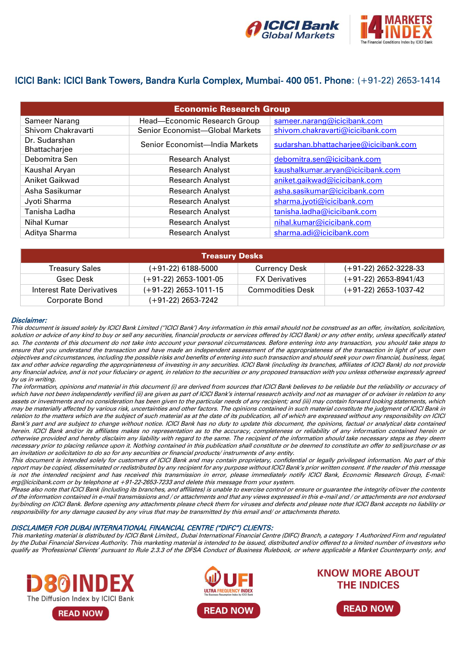

# ICICI Bank: ICICI Bank Towers, Bandra Kurla Complex, Mumbai- 400 051. Phone: (+91-22) 2653-1414

| <b>Economic Research Group</b> |                                 |                                       |  |  |
|--------------------------------|---------------------------------|---------------------------------------|--|--|
| Sameer Narang                  | Head-Economic Research Group    | sameer.narang@icicibank.com           |  |  |
| Shivom Chakravarti             | Senior Economist-Global Markets | shivom.chakravarti@icicibank.com      |  |  |
| Dr. Sudarshan<br>Bhattacharjee | Senior Economist-India Markets  | sudarshan.bhattacharjee@icicibank.com |  |  |
| Debomitra Sen                  | <b>Research Analyst</b>         | debomitra.sen@icicibank.com           |  |  |
| Kaushal Aryan                  | <b>Research Analyst</b>         | kaushalkumar.aryan@icicibank.com      |  |  |
| <b>Aniket Gaikwad</b>          | <b>Research Analyst</b>         | aniket.gaikwad@icicibank.com          |  |  |
| Asha Sasikumar                 | <b>Research Analyst</b>         | asha.sasikumar@icicibank.com          |  |  |
| Jyoti Sharma                   | <b>Research Analyst</b>         | sharma.jyoti@icicibank.com            |  |  |
| Tanisha Ladha                  | <b>Research Analyst</b>         | tanisha.ladha@icicibank.com           |  |  |
| Nihal Kumar                    | <b>Research Analyst</b>         | nihal.kumar@icicibank.com             |  |  |
| Aditya Sharma                  | <b>Research Analyst</b>         | sharma.adi@icicibank.com              |  |  |

| <b>Treasury Desks</b>     |                         |                         |                         |  |
|---------------------------|-------------------------|-------------------------|-------------------------|--|
| <b>Treasury Sales</b>     | $(+91-22)$ 6188-5000    | <b>Currency Desk</b>    | $(+91-22)$ 2652-3228-33 |  |
| Gsec Desk                 | $(+91-22)$ 2653-1001-05 | <b>FX Derivatives</b>   | $(+91-22)$ 2653-8941/43 |  |
| Interest Rate Derivatives | $(+91-22)$ 2653-1011-15 | <b>Commodities Desk</b> | $(+91-22)$ 2653-1037-42 |  |
| Corporate Bond            | $(+91-22)$ 2653-7242    |                         |                         |  |

## Disclaimer:

This document is issued solely by ICICI Bank Limited (''ICICI Bank') Any information in this email should not be construed as an offer, invitation, solicitation, solution or advice of any kind to buy or sell any securities, financial products or services offered by ICICI Bank) or any other entity, unless specifically stated so. The contents of this document do not take into account your personal circumstances. Before entering into any transaction, you should take steps to ensure that you understand the transaction and have made an independent assessment of the appropriateness of the transaction in light of your own objectives and circumstances, including the possible risks and benefits of entering into such transaction and should seek your own financial, business, legal, tax and other advice regarding the appropriateness of investing in any securities. ICICI Bank (including its branches, affiliates of ICICI Bank) do not provide any financial advice, and is not your fiduciary or agent, in relation to the securities or any proposed transaction with you unless otherwise expressly agreed by us in writing.

The information, opinions and material in this document (i) are derived from sources that ICICI Bank believes to be reliable but the reliability or accuracy of which have not been independently verified (ii) are given as part of ICICI Bank's internal research activity and not as manager of or adviser in relation to any assets or investments and no consideration has been given to the particular needs of any recipient; and (iii) may contain forward looking statements, which may be materially affected by various risk, uncertainties and other factors. The opinions contained in such material constitute the judgment of ICICI Bank in relation to the matters which are the subject of such material as at the date of its publication, all of which are expressed without any responsibility on ICICI Bank's part and are subject to change without notice. ICICI Bank has no duty to update this document, the opinions, factual or analytical data contained herein. ICICI Bank and/or its affiliates makes no representation as to the accuracy, completeness or reliability of any information contained herein or otherwise provided and hereby disclaim any liability with regard to the same. The recipient of the information should take necessary steps as they deem necessary prior to placing reliance upon it. Nothing contained in this publication shall constitute or be deemed to constitute an offer to sell/purchase or as an invitation or solicitation to do so for any securities or financial products/ instruments of any entity.

This document is intended solely for customers of ICICI Bank and may contain proprietary, confidential or legally privileged information. No part of this report may be copied, disseminated or redistributed by any recipient for any purpose without ICICI Bank's prior written consent. If the reader of this message is not the intended recipient and has received this transmission in error, please immediately notify ICICI Bank, Economic Research Group, E-mail: erg@icicibank.com or by telephone at +91-22-2653-7233 and delete this message from your system.

Please also note that ICICI Bank (including its branches, and affiliates) is unable to exercise control or ensure or guarantee the integrity of/over the contents of the information contained in e-mail transmissions and / or attachments and that any views expressed in this e-mail and / or attachments are not endorsed by/binding on ICICI Bank. Before opening any attachments please check them for viruses and defects and please note that ICICI Bank accepts no liability or responsibility for any damage caused by any virus that may be transmitted by this email and/ or attachments thereto.

## DISCLAIMER FOR DUBAI INTERNATIONAL FINANCIAL CENTRE ("DIFC") CLIENTS:

This marketing material is distributed by ICICI Bank Limited., Dubai International Financial Centre (DIFC) Branch, a category 1 Authorized Firm and regulated by the Dubai Financial Services Authority. This marketing material is intended to be issued, distributed and/or offered to a limited number of investors who qualify as 'Professional Clients' pursuant to Rule 2.3.3 of the DFSA Conduct of Business Rulebook, or where applicable a Market Counterparty only, and



**READ NOW**